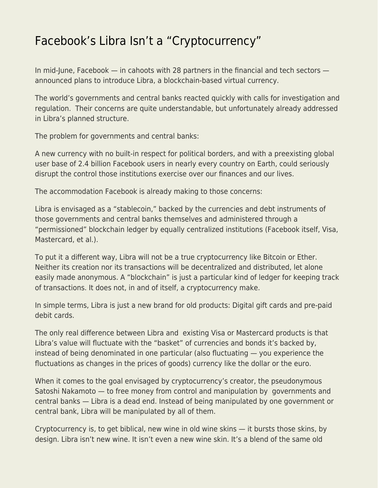## [Facebook's Libra Isn't a "Cryptocurrency"](https://everything-voluntary.com/facebooks-libra-isnt-a-cryptocurrency)

In mid-June, Facebook — in cahoots with 28 partners in the financial and tech sectors announced plans to introduce Libra, a blockchain-based virtual currency.

The world's governments and central banks reacted quickly with calls for investigation and regulation. Their concerns are quite understandable, but unfortunately already addressed in Libra's planned structure.

The problem for governments and central banks:

A new currency with no built-in respect for political borders, and with a preexisting global user base of 2.4 billion Facebook users in nearly every country on Earth, could seriously disrupt the control those institutions exercise over our finances and our lives.

The accommodation Facebook is already making to those concerns:

Libra is envisaged as a "stablecoin," backed by the currencies and debt instruments of those governments and central banks themselves and administered through a "permissioned" blockchain ledger by equally centralized institutions (Facebook itself, Visa, Mastercard, et al.).

To put it a different way, Libra will not be a true cryptocurrency like Bitcoin or Ether. Neither its creation nor its transactions will be decentralized and distributed, let alone easily made anonymous. A "blockchain" is just a particular kind of ledger for keeping track of transactions. It does not, in and of itself, a cryptocurrency make.

In simple terms, Libra is just a new brand for old products: Digital gift cards and pre-paid debit cards.

The only real difference between Libra and existing Visa or Mastercard products is that Libra's value will fluctuate with the "basket" of currencies and bonds it's backed by, instead of being denominated in one particular (also fluctuating — you experience the fluctuations as changes in the prices of goods) currency like the dollar or the euro.

When it comes to the goal envisaged by cryptocurrency's creator, the pseudonymous Satoshi Nakamoto — to free money from control and manipulation by governments and central banks — Libra is a dead end. Instead of being manipulated by one government or central bank, Libra will be manipulated by all of them.

Cryptocurrency is, to get biblical, new wine in old wine skins — it bursts those skins, by design. Libra isn't new wine. It isn't even a new wine skin. It's a blend of the same old